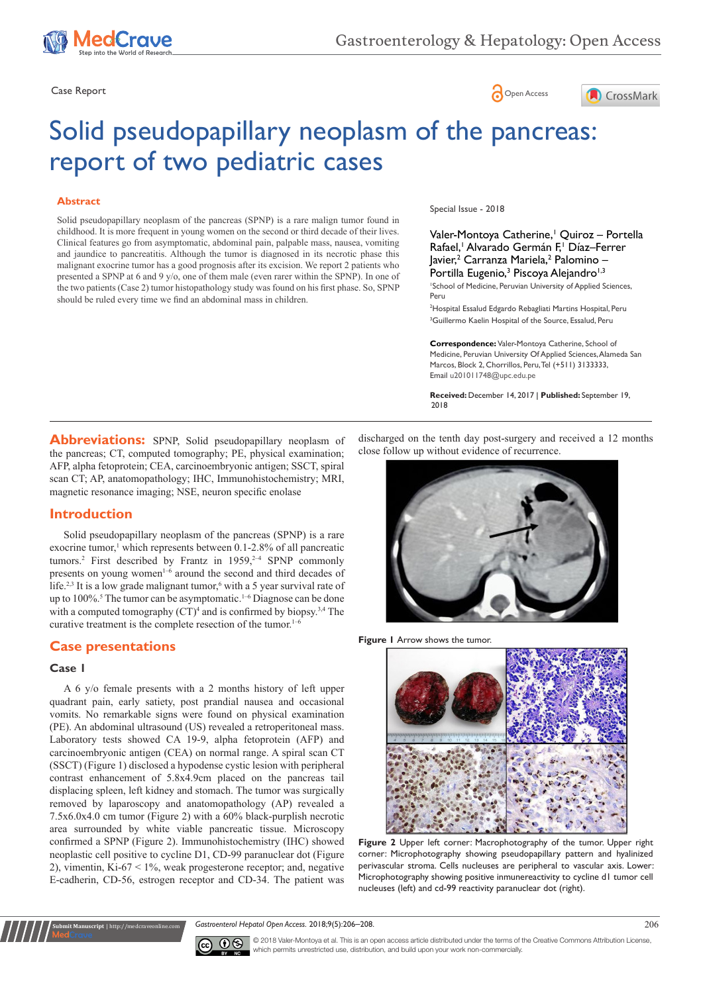





# Solid pseudopapillary neoplasm of the pancreas: report of two pediatric cases

#### **Abstract**

Solid pseudopapillary neoplasm of the pancreas (SPNP) is a rare malign tumor found in childhood. It is more frequent in young women on the second or third decade of their lives. Clinical features go from asymptomatic, abdominal pain, palpable mass, nausea, vomiting and jaundice to pancreatitis. Although the tumor is diagnosed in its necrotic phase this malignant exocrine tumor has a good prognosis after its excision. We report 2 patients who presented a SPNP at 6 and 9 y/o, one of them male (even rarer within the SPNP). In one of the two patients (Case 2) tumor histopathology study was found on his first phase. So, SPNP should be ruled every time we find an abdominal mass in children.

Special Issue - 2018

Valer-Montoya Catherine,<sup>1</sup> Quiroz – Portella Rafael,<sup>1</sup> Alvarado Germán F,<sup>1</sup> Díaz-Ferrer Javier,<sup>2</sup> Carranza Mariela,<sup>2</sup> Palomino – Portilla Eugenio,<sup>3</sup> Piscoya Alejandro<sup>1,3</sup>

1 School of Medicine, Peruvian University of Applied Sciences, Peru

2 Hospital Essalud Edgardo Rebagliati Martins Hospital, Peru <sup>3</sup>Guillermo Kaelin Hospital of the Source, Essalud, Peru

**Correspondence:** Valer-Montoya Catherine, School of Medicine, Peruvian University Of Applied Sciences, Alameda San Marcos, Block 2, Chorrillos, Peru, Tel (+511) 3133333, Email u201011748@upc.edu.pe

**Received:** December 14, 2017 | **Published:** September 19, 2018

**Abbreviations:** SPNP, Solid pseudopapillary neoplasm of the pancreas; CT, computed tomography; PE, physical examination; AFP, alpha fetoprotein; CEA, carcinoembryonic antigen; SSCT, spiral scan CT; AP, anatomopathology; IHC, Immunohistochemistry; MRI, magnetic resonance imaging; NSE, neuron specific enolase

# **Introduction**

Solid pseudopapillary neoplasm of the pancreas (SPNP) is a rare exocrine tumor,<sup>1</sup> which represents between  $0.1$ -2.8% of all pancreatic tumors.<sup>2</sup> First described by Frantz in  $1959,^{2-4}$  SPNP commonly presents on young women<sup>1-6</sup> around the second and third decades of life.<sup>2,3</sup> It is a low grade malignant tumor,<sup>6</sup> with a 5 year survival rate of up to 100%.<sup>5</sup> The tumor can be asymptomatic.<sup>1-6</sup> Diagnose can be done with a computed tomography  $(CT)^4$  and is confirmed by biopsy.<sup>3,4</sup> The curative treatment is the complete resection of the tumor.<sup>1-6</sup>

# **Case presentations**

**nuscript** | http://medcr

#### **Case 1**

A 6 y/o female presents with a 2 months history of left upper quadrant pain, early satiety, post prandial nausea and occasional vomits. No remarkable signs were found on physical examination (PE). An abdominal ultrasound (US) revealed a retroperitoneal mass. Laboratory tests showed CA 19-9, alpha fetoprotein (AFP) and carcinoembryonic antigen (CEA) on normal range. A spiral scan CT (SSCT) (Figure 1) disclosed a hypodense cystic lesion with peripheral contrast enhancement of 5.8x4.9cm placed on the pancreas tail displacing spleen, left kidney and stomach. The tumor was surgically removed by laparoscopy and anatomopathology (AP) revealed a 7.5x6.0x4.0 cm tumor (Figure 2) with a 60% black-purplish necrotic area surrounded by white viable pancreatic tissue. Microscopy confirmed a SPNP (Figure 2). Immunohistochemistry (IHC) showed neoplastic cell positive to cycline D1, CD-99 paranuclear dot (Figure 2), vimentin,  $Ki-67 < 1\%$ , weak progesterone receptor; and, negative E-cadherin, CD-56, estrogen receptor and CD-34. The patient was discharged on the tenth day post-surgery and received a 12 months close follow up without evidence of recurrence.



**Figure 1** Arrow shows the tumor.



**Figure 2** Upper left corner: Macrophotography of the tumor. Upper right corner: Microphotography showing pseudopapillary pattern and hyalinized perivascular stroma. Cells nucleuses are peripheral to vascular axis. Lower: Microphotography showing positive inmunereactivity to cycline d1 tumor cell nucleuses (left) and cd-99 reactivity paranuclear dot (right).

*Gastroenterol Hepatol Open Access.* 2018;9(5):206–208.



© 2018 Valer-Montoya et al. This is an open access article distributed under the terms of the [Creative Commons Attribution License](https://creativecommons.org/licenses/by-nc/4.0/), which permits unrestricted use, distribution, and build upon your work non-commercially.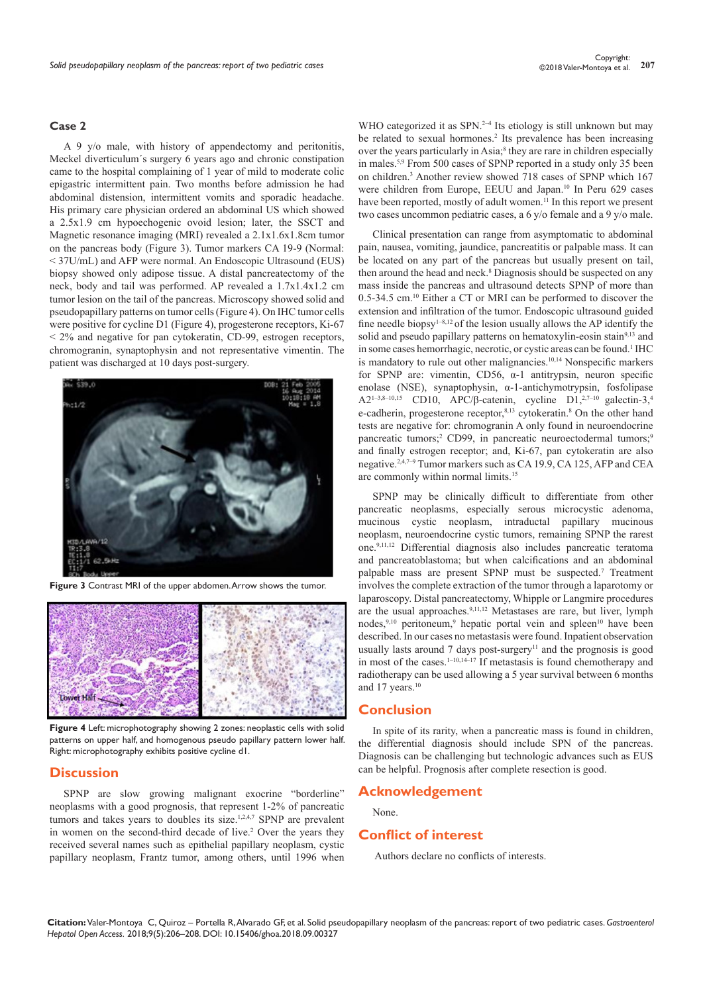#### **Case 2**

A 9 y/o male, with history of appendectomy and peritonitis, Meckel diverticulum´s surgery 6 years ago and chronic constipation came to the hospital complaining of 1 year of mild to moderate colic epigastric intermittent pain. Two months before admission he had abdominal distension, intermittent vomits and sporadic headache. His primary care physician ordered an abdominal US which showed a 2.5x1.9 cm hypoechogenic ovoid lesion; later, the SSCT and Magnetic resonance imaging (MRI) revealed a 2.1x1.6x1.8cm tumor on the pancreas body (Figure 3). Tumor markers CA 19-9 (Normal: < 37U/mL) and AFP were normal. An Endoscopic Ultrasound (EUS) biopsy showed only adipose tissue. A distal pancreatectomy of the neck, body and tail was performed. AP revealed a 1.7x1.4x1.2 cm tumor lesion on the tail of the pancreas. Microscopy showed solid and pseudopapillary patterns on tumor cells (Figure 4). On IHC tumor cells were positive for cycline D1 (Figure 4), progesterone receptors, Ki-67  $\leq$  2% and negative for pan cytokeratin, CD-99, estrogen receptors, chromogranin, synaptophysin and not representative vimentin. The patient was discharged at 10 days post-surgery.



**Figure 3** Contrast MRI of the upper abdomen. Arrow shows the tumor.



**Figure 4** Left: microphotography showing 2 zones: neoplastic cells with solid patterns on upper half, and homogenous pseudo papillary pattern lower half. Right: microphotography exhibits positive cycline d1.

## **Discussion**

SPNP are slow growing malignant exocrine "borderline" neoplasms with a good prognosis, that represent 1-2% of pancreatic tumors and takes years to doubles its size.<sup>1,2,4,7</sup> SPNP are prevalent in women on the second-third decade of live.<sup>2</sup> Over the years they received several names such as epithelial papillary neoplasm, cystic papillary neoplasm, Frantz tumor, among others, until 1996 when

WHO categorized it as SPN.<sup>2-4</sup> Its etiology is still unknown but may be related to sexual hormones.<sup>2</sup> Its prevalence has been increasing over the years particularly in Asia;<sup>8</sup> they are rare in children especially in males.5,9 From 500 cases of SPNP reported in a study only 35 been on children.3 Another review showed 718 cases of SPNP which 167 were children from Europe, EEUU and Japan.<sup>10</sup> In Peru 629 cases have been reported, mostly of adult women.<sup>11</sup> In this report we present two cases uncommon pediatric cases, a 6 y/o female and a 9 y/o male.

Clinical presentation can range from asymptomatic to abdominal pain, nausea, vomiting, jaundice, pancreatitis or palpable mass. It can be located on any part of the pancreas but usually present on tail, then around the head and neck.<sup>8</sup> Diagnosis should be suspected on any mass inside the pancreas and ultrasound detects SPNP of more than 0.5-34.5 cm.10 Either a CT or MRI can be performed to discover the extension and infiltration of the tumor. Endoscopic ultrasound guided fine needle biopsy<sup>1-8,12</sup> of the lesion usually allows the AP identify the solid and pseudo papillary patterns on hematoxylin-eosin stain<sup>9,13</sup> and in some cases hemorrhagic, necrotic, or cystic areas can be found.<sup>1</sup> IHC is mandatory to rule out other malignancies.<sup>10,14</sup> Nonspecific markers for SPNP are: vimentin, CD56,  $\alpha$ -1 antitrypsin, neuron specific enolase (NSE), synaptophysin, α-1-antichymotrypsin, fosfolipase A2<sup>1-3,8-10,15</sup> CD10, APC/β-catenin, cycline D1,<sup>2,7-10</sup> galectin-3,<sup>4</sup> e-cadherin, progesterone receptor,<sup>8,13</sup> cytokeratin.<sup>8</sup> On the other hand tests are negative for: chromogranin A only found in neuroendocrine pancreatic tumors;<sup>2</sup> CD99, in pancreatic neuroectodermal tumors;<sup>9</sup> and finally estrogen receptor; and, Ki-67, pan cytokeratin are also negative.2,4,7–9 Tumor markers such as CA 19.9, CA 125, AFP and CEA are commonly within normal limits.<sup>15</sup>

SPNP may be clinically difficult to differentiate from other pancreatic neoplasms, especially serous microcystic adenoma, mucinous cystic neoplasm, intraductal papillary mucinous neoplasm, neuroendocrine cystic tumors, remaining SPNP the rarest one.9,11,12 Differential diagnosis also includes pancreatic teratoma and pancreatoblastoma; but when calcifications and an abdominal palpable mass are present SPNP must be suspected.<sup>7</sup> Treatment involves the complete extraction of the tumor through a laparotomy or laparoscopy. Distal pancreatectomy, Whipple or Langmire procedures are the usual approaches.<sup>9,11,12</sup> Metastases are rare, but liver, lymph nodes,<sup>9,10</sup> peritoneum,<sup>9</sup> hepatic portal vein and spleen<sup>10</sup> have been described. In our cases no metastasis were found. Inpatient observation usually lasts around  $7$  days post-surgery<sup>11</sup> and the prognosis is good in most of the cases. $1-10,14-17$  If metastasis is found chemotherapy and radiotherapy can be used allowing a 5 year survival between 6 months and 17 years.<sup>10</sup>

### **Conclusion**

In spite of its rarity, when a pancreatic mass is found in children, the differential diagnosis should include SPN of the pancreas. Diagnosis can be challenging but technologic advances such as EUS can be helpful. Prognosis after complete resection is good.

## **Acknowledgement**

None.

#### **Conflict of interest**

Authors declare no conflicts of interests.

**Citation:** Valer-Montoya C, Quiroz – Portella R, Alvarado GF, et al. Solid pseudopapillary neoplasm of the pancreas: report of two pediatric cases. *Gastroenterol Hepatol Open Access.* 2018;9(5):206–208. DOI: [10.15406/ghoa.2018.09.00327](https://doi.org/10.15406/ghoa.2018.09.00327)